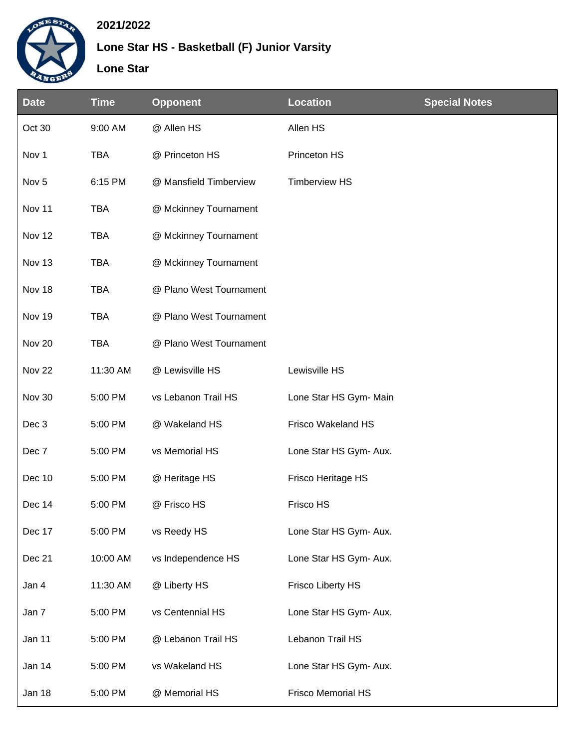

## **2021/2022**

## **Lone Star HS - Basketball (F) Junior Varsity**

**Lone Star**

| <b>Date</b>       | <b>Time</b> | <b>Opponent</b>         | <b>Location</b>           | <b>Special Notes</b> |
|-------------------|-------------|-------------------------|---------------------------|----------------------|
| Oct 30            | 9:00 AM     | @ Allen HS              | Allen HS                  |                      |
| Nov 1             | <b>TBA</b>  | @ Princeton HS          | Princeton HS              |                      |
| Nov <sub>5</sub>  | 6:15 PM     | @ Mansfield Timberview  | <b>Timberview HS</b>      |                      |
| Nov 11            | <b>TBA</b>  | @ Mckinney Tournament   |                           |                      |
| Nov 12            | <b>TBA</b>  | @ Mckinney Tournament   |                           |                      |
| Nov 13            | <b>TBA</b>  | @ Mckinney Tournament   |                           |                      |
| Nov 18            | <b>TBA</b>  | @ Plano West Tournament |                           |                      |
| Nov 19            | <b>TBA</b>  | @ Plano West Tournament |                           |                      |
| Nov 20            | <b>TBA</b>  | @ Plano West Tournament |                           |                      |
| Nov <sub>22</sub> | 11:30 AM    | @ Lewisville HS         | Lewisville HS             |                      |
| Nov 30            | 5:00 PM     | vs Lebanon Trail HS     | Lone Star HS Gym- Main    |                      |
| Dec 3             | 5:00 PM     | @ Wakeland HS           | Frisco Wakeland HS        |                      |
| Dec 7             | 5:00 PM     | vs Memorial HS          | Lone Star HS Gym- Aux.    |                      |
| Dec 10            | 5:00 PM     | @ Heritage HS           | Frisco Heritage HS        |                      |
| Dec 14            | 5:00 PM     | @ Frisco HS             | Frisco HS                 |                      |
| Dec 17            | 5:00 PM     | vs Reedy HS             | Lone Star HS Gym- Aux.    |                      |
| Dec 21            | 10:00 AM    | vs Independence HS      | Lone Star HS Gym- Aux.    |                      |
| Jan 4             | 11:30 AM    | @ Liberty HS            | <b>Frisco Liberty HS</b>  |                      |
| Jan 7             | 5:00 PM     | vs Centennial HS        | Lone Star HS Gym- Aux.    |                      |
| Jan 11            | 5:00 PM     | @ Lebanon Trail HS      | Lebanon Trail HS          |                      |
| Jan 14            | 5:00 PM     | vs Wakeland HS          | Lone Star HS Gym- Aux.    |                      |
| Jan 18            | 5:00 PM     | @ Memorial HS           | <b>Frisco Memorial HS</b> |                      |